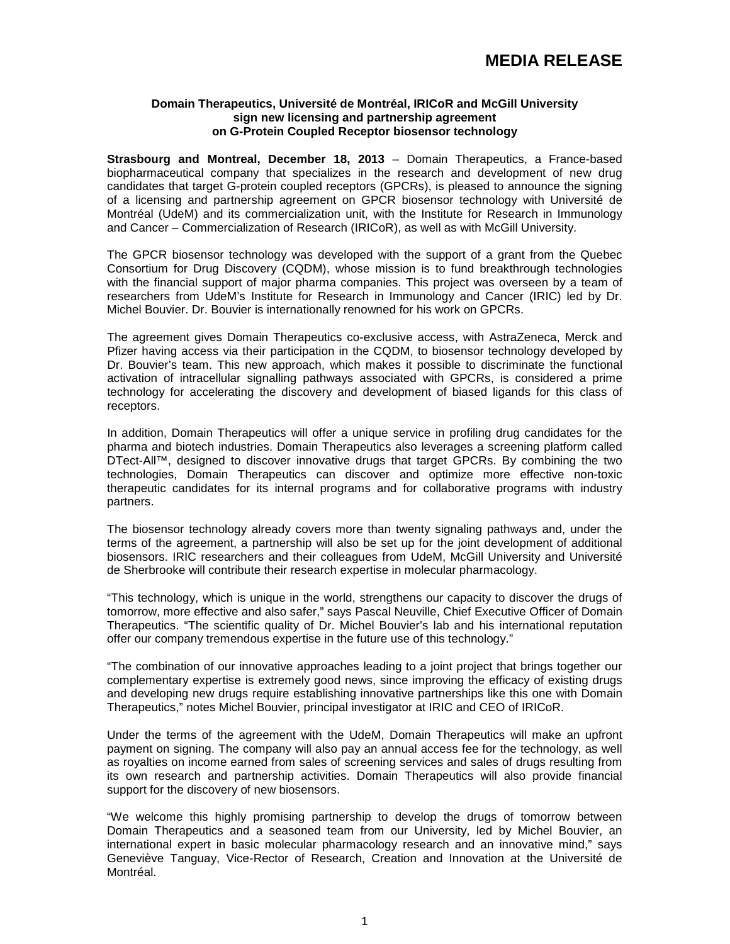# **Domain Therapeutics, Université de Montréal, IRICoR and McGill University sign new licensing and partnership agreement on G-Protein Coupled Receptor biosensor technology**

**Strasbourg and Montreal, December 18, 2013** – Domain Therapeutics, a France-based biopharmaceutical company that specializes in the research and development of new drug candidates that target G-protein coupled receptors (GPCRs), is pleased to announce the signing of a licensing and partnership agreement on GPCR biosensor technology with Université de Montréal (UdeM) and its commercialization unit, with the Institute for Research in Immunology and Cancer – Commercialization of Research (IRICoR), as well as with McGill University.

The GPCR biosensor technology was developed with the support of a grant from the Quebec Consortium for Drug Discovery (CQDM), whose mission is to fund breakthrough technologies with the financial support of major pharma companies. This project was overseen by a team of researchers from UdeM's Institute for Research in Immunology and Cancer (IRIC) led by Dr. Michel Bouvier. Dr. Bouvier is internationally renowned for his work on GPCRs.

The agreement gives Domain Therapeutics co-exclusive access, with AstraZeneca, Merck and Pfizer having access via their participation in the CQDM, to biosensor technology developed by Dr. Bouvier's team. This new approach, which makes it possible to discriminate the functional activation of intracellular signalling pathways associated with GPCRs, is considered a prime technology for accelerating the discovery and development of biased ligands for this class of receptors.

In addition, Domain Therapeutics will offer a unique service in profiling drug candidates for the pharma and biotech industries. Domain Therapeutics also leverages a screening platform called DTect-All™, designed to discover innovative drugs that target GPCRs. By combining the two technologies, Domain Therapeutics can discover and optimize more effective non-toxic therapeutic candidates for its internal programs and for collaborative programs with industry partners.

The biosensor technology already covers more than twenty signaling pathways and, under the terms of the agreement, a partnership will also be set up for the joint development of additional biosensors. IRIC researchers and their colleagues from UdeM, McGill University and Université de Sherbrooke will contribute their research expertise in molecular pharmacology.

"This technology, which is unique in the world, strengthens our capacity to discover the drugs of tomorrow, more effective and also safer," says Pascal Neuville, Chief Executive Officer of Domain Therapeutics. "The scientific quality of Dr. Michel Bouvier's lab and his international reputation offer our company tremendous expertise in the future use of this technology."

"The combination of our innovative approaches leading to a joint project that brings together our complementary expertise is extremely good news, since improving the efficacy of existing drugs and developing new drugs require establishing innovative partnerships like this one with Domain Therapeutics," notes Michel Bouvier, principal investigator at IRIC and CEO of IRICoR.

Under the terms of the agreement with the UdeM, Domain Therapeutics will make an upfront payment on signing. The company will also pay an annual access fee for the technology, as well as royalties on income earned from sales of screening services and sales of drugs resulting from its own research and partnership activities. Domain Therapeutics will also provide financial support for the discovery of new biosensors.

"We welcome this highly promising partnership to develop the drugs of tomorrow between Domain Therapeutics and a seasoned team from our University, led by Michel Bouvier, an international expert in basic molecular pharmacology research and an innovative mind," says Geneviève Tanguay, Vice-Rector of Research, Creation and Innovation at the Université de Montréal.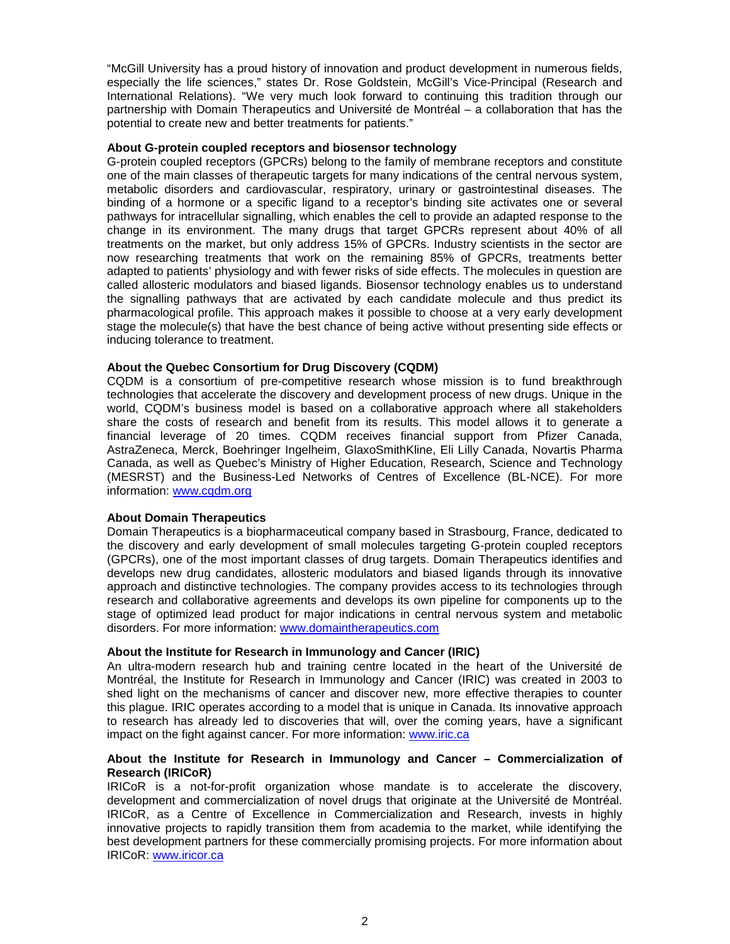"McGill University has a proud history of innovation and product development in numerous fields, especially the life sciences," states Dr. Rose Goldstein, McGill's Vice-Principal (Research and International Relations). "We very much look forward to continuing this tradition through our partnership with Domain Therapeutics and Université de Montréal – a collaboration that has the potential to create new and better treatments for patients."

## **About G-protein coupled receptors and biosensor technology**

G-protein coupled receptors (GPCRs) belong to the family of membrane receptors and constitute one of the main classes of therapeutic targets for many indications of the central nervous system, metabolic disorders and cardiovascular, respiratory, urinary or gastrointestinal diseases. The binding of a hormone or a specific ligand to a receptor's binding site activates one or several pathways for intracellular signalling, which enables the cell to provide an adapted response to the change in its environment. The many drugs that target GPCRs represent about 40% of all treatments on the market, but only address 15% of GPCRs. Industry scientists in the sector are now researching treatments that work on the remaining 85% of GPCRs, treatments better adapted to patients' physiology and with fewer risks of side effects. The molecules in question are called allosteric modulators and biased ligands. Biosensor technology enables us to understand the signalling pathways that are activated by each candidate molecule and thus predict its pharmacological profile. This approach makes it possible to choose at a very early development stage the molecule(s) that have the best chance of being active without presenting side effects or inducing tolerance to treatment.

## **About the Quebec Consortium for Drug Discovery (CQDM)**

CQDM is a consortium of pre-competitive research whose mission is to fund breakthrough technologies that accelerate the discovery and development process of new drugs. Unique in the world, CQDM's business model is based on a collaborative approach where all stakeholders share the costs of research and benefit from its results. This model allows it to generate a financial leverage of 20 times. CQDM receives financial support from Pfizer Canada, AstraZeneca, Merck, Boehringer Ingelheim, GlaxoSmithKline, Eli Lilly Canada, Novartis Pharma Canada, as well as Quebec's Ministry of Higher Education, Research, Science and Technology (MESRST) and the Business-Led Networks of Centres of Excellence (BL-NCE). For more information: [www.cqdm.org](http://www.cqdm.org/)

## **About Domain Therapeutics**

Domain Therapeutics is a biopharmaceutical company based in Strasbourg, France, dedicated to the discovery and early development of small molecules targeting G-protein coupled receptors (GPCRs), one of the most important classes of drug targets. Domain Therapeutics identifies and develops new drug candidates, allosteric modulators and biased ligands through its innovative approach and distinctive technologies. The company provides access to its technologies through research and collaborative agreements and develops its own pipeline for components up to the stage of optimized lead product for major indications in central nervous system and metabolic disorders. For more information: [www.domaintherapeutics.com](http://www.domaintherapeutics.com/)

### **About the Institute for Research in Immunology and Cancer (IRIC)**

An ultra-modern research hub and training centre located in the heart of the Université de Montréal, the Institute for Research in Immunology and Cancer (IRIC) was created in 2003 to shed light on the mechanisms of cancer and discover new, more effective therapies to counter this plague. IRIC operates according to a model that is unique in Canada. Its innovative approach to research has already led to discoveries that will, over the coming years, have a significant impact on the fight against cancer. For more information: [www.iric.ca](http://www.iric.ca/)

### **About the Institute for Research in Immunology and Cancer – Commercialization of Research (IRICoR)**

IRICoR is a not-for-profit organization whose mandate is to accelerate the discovery, development and commercialization of novel drugs that originate at the Université de Montréal. IRICoR, as a Centre of Excellence in Commercialization and Research, invests in highly innovative projects to rapidly transition them from academia to the market, while identifying the best development partners for these commercially promising projects. For more information about IRICoR: [www.iricor.ca](http://www.iricor.ca/)